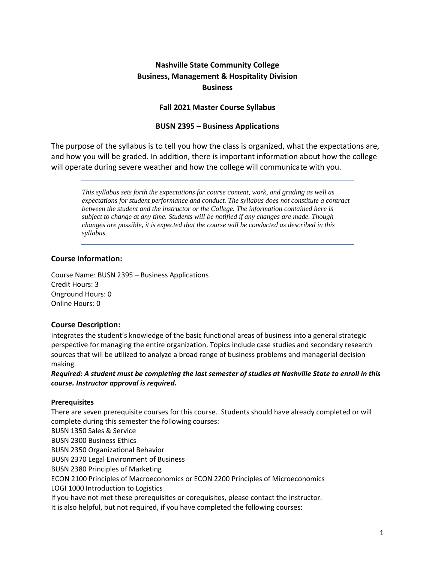# **Nashville State Community College Business, Management & Hospitality Division Business**

# **Fall 2021 Master Course Syllabus**

## **BUSN 2395 – Business Applications**

The purpose of the syllabus is to tell you how the class is organized, what the expectations are, and how you will be graded. In addition, there is important information about how the college will operate during severe weather and how the college will communicate with you.

*This syllabus sets forth the expectations for course content, work, and grading as well as expectations for student performance and conduct. The syllabus does not constitute a contract between the student and the instructor or the College. The information contained here is subject to change at any time. Students will be notified if any changes are made. Though changes are possible, it is expected that the course will be conducted as described in this syllabus.*

## **Course information:**

Course Name: BUSN 2395 – Business Applications Credit Hours: 3 Onground Hours: 0 Online Hours: 0

# **Course Description:**

Integrates the student's knowledge of the basic functional areas of business into a general strategic perspective for managing the entire organization. Topics include case studies and secondary research sources that will be utilized to analyze a broad range of business problems and managerial decision making.

*Required: A student must be completing the last semester of studies at Nashville State to enroll in this course. Instructor approval is required.*

#### **Prerequisites**

There are seven prerequisite courses for this course. Students should have already completed or will complete during this semester the following courses:

BUSN 1350 Sales & Service BUSN 2300 Business Ethics BUSN 2350 Organizational Behavior BUSN 2370 Legal Environment of Business

BUSN 2380 Principles of Marketing

ECON 2100 Principles of Macroeconomics or ECON 2200 Principles of Microeconomics

LOGI 1000 Introduction to Logistics

If you have not met these prerequisites or corequisites, please contact the instructor.

It is also helpful, but not required, if you have completed the following courses: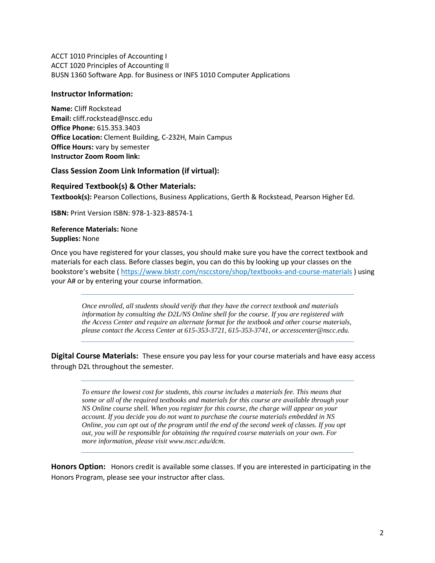ACCT 1010 Principles of Accounting I ACCT 1020 Principles of Accounting II BUSN 1360 Software App. for Business or INFS 1010 Computer Applications

#### **Instructor Information:**

**Name:** Cliff Rockstead **Email:** cliff.rockstead@nscc.edu **Office Phone:** 615.353.3403 **Office Location:** Clement Building, C-232H, Main Campus **Office Hours:** vary by semester **Instructor Zoom Room link:**

### **Class Session Zoom Link Information (if virtual):**

### **Required Textbook(s) & Other Materials:**

**Textbook(s):** Pearson Collections, Business Applications, Gerth & Rockstead, Pearson Higher Ed.

**ISBN:** Print Version ISBN: 978-1-323-88574-1

**Reference Materials:** None **Supplies:** None

Once you have registered for your classes, you should make sure you have the correct textbook and materials for each class. Before classes begin, you can do this by looking up your classes on the bookstore's website ( <https://www.bkstr.com/nsccstore/shop/textbooks-and-course-materials> ) using your A# or by entering your course information.

*Once enrolled, all students should verify that they have the correct textbook and materials information by consulting the D2L/NS Online shell for the course. If you are registered with the Access Center and require an alternate format for the textbook and other course materials, please contact the Access Center at 615-353-3721, 615-353-3741, o[r accesscenter@nscc.edu.](mailto:accesscenter@nscc.edu)*

**Digital Course Materials:** These ensure you pay less for your course materials and have easy access through D2L throughout the semester.

*To ensure the lowest cost for students, this course includes a materials fee. This means that some or all of the required textbooks and materials for this course are available through your NS Online course shell. When you register for this course, the charge will appear on your account. If you decide you do not want to purchase the course materials embedded in NS Online, you can opt out of the program until the end of the second week of classes. If you opt out, you will be responsible for obtaining the required course materials on your own. For more information, please visi[t www.nscc.edu/dcm.](http://www.nscc.edu/dcm)* 

**Honors Option:** Honors credit is available some classes. If you are interested in participating in the Honors Program, please see your instructor after class.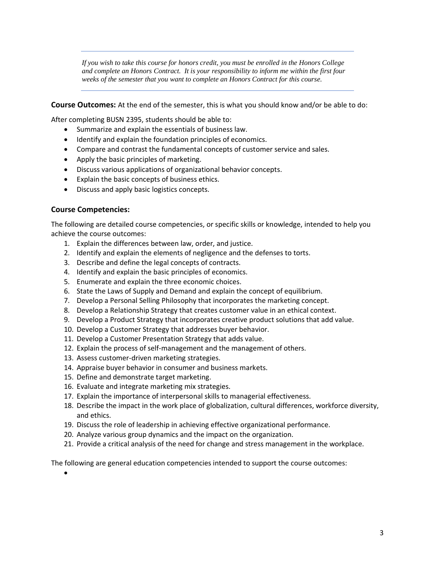*If you wish to take this course for honors credit, you must be enrolled in the Honors College and complete an Honors Contract. It is your responsibility to inform me within the first four weeks of the semester that you want to complete an Honors Contract for this course.*

**Course Outcomes:** At the end of the semester, this is what you should know and/or be able to do:

After completing BUSN 2395, students should be able to:

- Summarize and explain the essentials of business law.
- Identify and explain the foundation principles of economics.
- Compare and contrast the fundamental concepts of customer service and sales.
- Apply the basic principles of marketing.
- Discuss various applications of organizational behavior concepts.
- Explain the basic concepts of business ethics.
- Discuss and apply basic logistics concepts.

### **Course Competencies:**

The following are detailed course competencies, or specific skills or knowledge, intended to help you achieve the course outcomes:

- 1. Explain the differences between law, order, and justice.
- 2. Identify and explain the elements of negligence and the defenses to torts.
- 3. Describe and define the legal concepts of contracts.
- 4. Identify and explain the basic principles of economics.
- 5. Enumerate and explain the three economic choices.
- 6. State the Laws of Supply and Demand and explain the concept of equilibrium.
- 7. Develop a Personal Selling Philosophy that incorporates the marketing concept.
- 8. Develop a Relationship Strategy that creates customer value in an ethical context.
- 9. Develop a Product Strategy that incorporates creative product solutions that add value.
- 10. Develop a Customer Strategy that addresses buyer behavior.
- 11. Develop a Customer Presentation Strategy that adds value.
- 12. Explain the process of self-management and the management of others.
- 13. Assess customer-driven marketing strategies.
- 14. Appraise buyer behavior in consumer and business markets.
- 15. Define and demonstrate target marketing.
- 16. Evaluate and integrate marketing mix strategies.
- 17. Explain the importance of interpersonal skills to managerial effectiveness.
- 18. Describe the impact in the work place of globalization, cultural differences, workforce diversity, and ethics.
- 19. Discuss the role of leadership in achieving effective organizational performance.
- 20. Analyze various group dynamics and the impact on the organization.
- 21. Provide a critical analysis of the need for change and stress management in the workplace.

The following are general education competencies intended to support the course outcomes: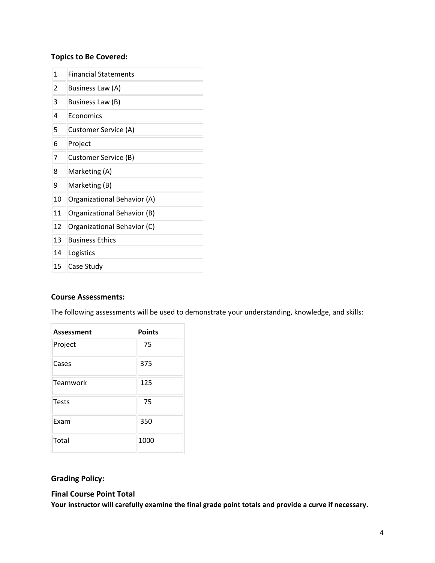# **Topics to Be Covered:**

| 1  | <b>Financial Statements</b> |
|----|-----------------------------|
| 2  | Business Law (A)            |
| 3  | Business Law (B)            |
| 4  | Economics                   |
| 5  | Customer Service (A)        |
| 6  | Project                     |
| 7  | Customer Service (B)        |
| 8  | Marketing (A)               |
| 9  | Marketing (B)               |
| 10 | Organizational Behavior (A) |
| 11 | Organizational Behavior (B) |
| 12 | Organizational Behavior (C) |
| 13 | <b>Business Ethics</b>      |
| 14 | Logistics                   |
| 15 | Case Study                  |

# **Course Assessments:**

The following assessments will be used to demonstrate your understanding, knowledge, and skills:

| Assessment   | <b>Points</b> |
|--------------|---------------|
| Project      | 75            |
| Cases        | 375           |
| Teamwork     | 125           |
| <b>Tests</b> | 75            |
| Exam         | 350           |
| Total        | 1000          |

# **Grading Policy:**

#### **Final Course Point Total**

**Your instructor will carefully examine the final grade point totals and provide a curve if necessary.**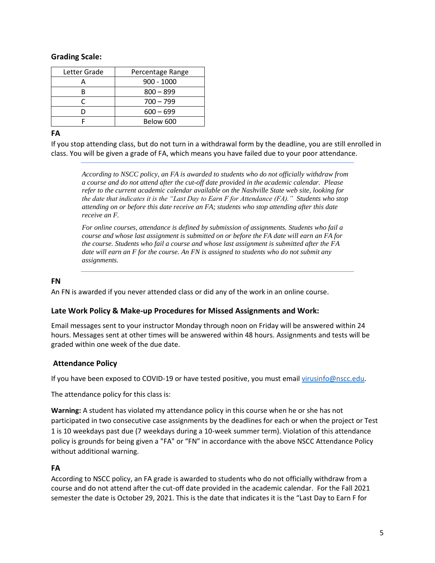# **Grading Scale:**

| Letter Grade | Percentage Range |
|--------------|------------------|
|              | 900 - 1000       |
|              | $800 - 899$      |
|              | $700 - 799$      |
|              | $600 - 699$      |
|              | Below 600        |

# **FA**

If you stop attending class, but do not turn in a withdrawal form by the deadline, you are still enrolled in class. You will be given a grade of FA, which means you have failed due to your poor attendance.

*According to NSCC policy, an FA is awarded to students who do not officially withdraw from a course and do not attend after the cut-off date provided in the academic calendar. Please refer to the current academic calendar available on the Nashville State web site, looking for the date that indicates it is the "Last Day to Earn F for Attendance (FA)." Students who stop attending on or before this date receive an FA; students who stop attending after this date receive an F.*

*For online courses, attendance is defined by submission of assignments. Students who fail a course and whose last assignment is submitted on or before the FA date will earn an FA for the course. Students who fail a course and whose last assignment is submitted after the FA date will earn an F for the course. An FN is assigned to students who do not submit any assignments.*

## **FN**

An FN is awarded if you never attended class or did any of the work in an online course.

# **Late Work Policy & Make-up Procedures for Missed Assignments and Work:**

Email messages sent to your instructor Monday through noon on Friday will be answered within 24 hours. Messages sent at other times will be answered within 48 hours. Assignments and tests will be graded within one week of the due date.

# **Attendance Policy**

If you have been exposed to COVID-19 or have tested positive, you must email [virusinfo@nscc.edu](mailto:virusinfo@nscc.edu).

The attendance policy for this class is:

**Warning:** A student has violated my attendance policy in this course when he or she has not participated in two consecutive case assignments by the deadlines for each or when the project or Test 1 is 10 weekdays past due (7 weekdays during a 10-week summer term). Violation of this attendance policy is grounds for being given a "FA" or "FN" in accordance with the above NSCC Attendance Policy without additional warning.

# **FA**

According to NSCC policy, an FA grade is awarded to students who do not officially withdraw from a course and do not attend after the cut-off date provided in the academic calendar. For the Fall 2021 semester the date is October 29, 2021. This is the date that indicates it is the "Last Day to Earn F for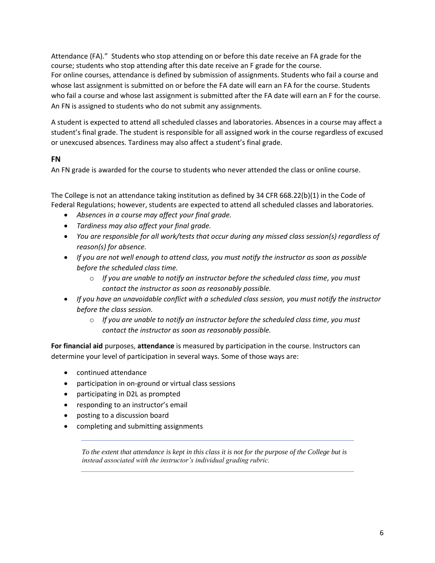Attendance (FA)." Students who stop attending on or before this date receive an FA grade for the course; students who stop attending after this date receive an F grade for the course. For online courses, attendance is defined by submission of assignments. Students who fail a course and whose last assignment is submitted on or before the FA date will earn an FA for the course. Students who fail a course and whose last assignment is submitted after the FA date will earn an F for the course. An FN is assigned to students who do not submit any assignments.

A student is expected to attend all scheduled classes and laboratories. Absences in a course may affect a student's final grade. The student is responsible for all assigned work in the course regardless of excused or unexcused absences. Tardiness may also affect a student's final grade.

# **FN**

An FN grade is awarded for the course to students who never attended the class or online course.

The College is not an attendance taking institution as defined by 34 CFR 668.22(b)(1) in the Code of Federal Regulations; however, students are expected to attend all scheduled classes and laboratories.

- *Absences in a course may affect your final grade.*
- *Tardiness may also affect your final grade.*
- *You are responsible for all work/tests that occur during any missed class session(s) regardless of reason(s) for absence.*
- *If you are not well enough to attend class, you must notify the instructor as soon as possible before the scheduled class time.*
	- o *If you are unable to notify an instructor before the scheduled class time, you must contact the instructor as soon as reasonably possible.*
- *If you have an unavoidable conflict with a scheduled class session, you must notify the instructor before the class session.*
	- o *If you are unable to notify an instructor before the scheduled class time, you must contact the instructor as soon as reasonably possible.*

**For financial aid** purposes, **attendance** is measured by participation in the course. Instructors can determine your level of participation in several ways. Some of those ways are:

- continued attendance
- participation in on-ground or virtual class sessions
- participating in D2L as prompted
- responding to an instructor's email
- posting to a discussion board
- completing and submitting assignments

*To the extent that attendance is kept in this class it is not for the purpose of the College but is instead associated with the instructor's individual grading rubric.*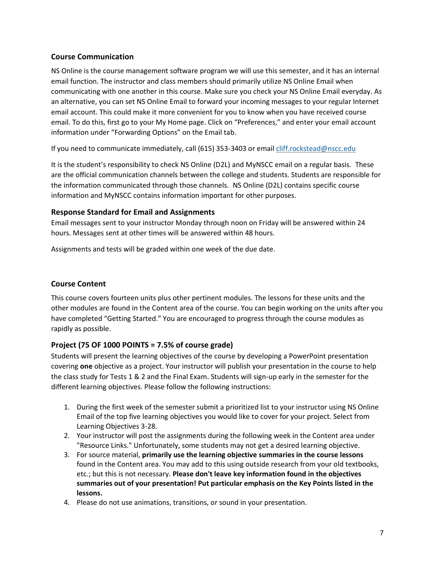# **Course Communication**

NS Online is the course management software program we will use this semester, and it has an internal email function. The instructor and class members should primarily utilize NS Online Email when communicating with one another in this course. Make sure you check your NS Online Email everyday. As an alternative, you can set NS Online Email to forward your incoming messages to your regular Internet email account. This could make it more convenient for you to know when you have received course email. To do this, first go to your My Home page. Click on "Preferences," and enter your email account information under "Forwarding Options" on the Email tab.

If you need to communicate immediately, call (615) 353-3403 or emai[l cliff.rockstead@nscc.edu](mailto:cliff.rockstead@nscc.edu)

It is the student's responsibility to check NS Online (D2L) and MyNSCC email on a regular basis. These are the official communication channels between the college and students. Students are responsible for the information communicated through those channels. NS Online (D2L) contains specific course information and MyNSCC contains information important for other purposes.

# **Response Standard for Email and Assignments**

Email messages sent to your instructor Monday through noon on Friday will be answered within 24 hours. Messages sent at other times will be answered within 48 hours.

Assignments and tests will be graded within one week of the due date.

# **Course Content**

This course covers fourteen units plus other pertinent modules. The lessons for these units and the other modules are found in the Content area of the course. You can begin working on the units after you have completed "Getting Started." You are encouraged to progress through the course modules as rapidly as possible.

# **Project (75 OF 1000 POINTS = 7.5% of course grade)**

Students will present the learning objectives of the course by developing a PowerPoint presentation covering **one** objective as a project. Your instructor will publish your presentation in the course to help the class study for Tests 1 & 2 and the Final Exam. Students will sign-up early in the semester for the different learning objectives. Please follow the following instructions:

- 1. During the first week of the semester submit a prioritized list to your instructor using NS Online Email of the top five learning objectives you would like to cover for your project. Select from Learning Objectives 3-28.
- 2. Your instructor will post the assignments during the following week in the Content area under "Resource Links." Unfortunately, some students may not get a desired learning objective.
- 3. For source material, **primarily use the learning objective summaries in the course lessons** found in the Content area. You may add to this using outside research from your old textbooks, etc.; but this is not necessary. **Please don't leave key information found in the objectives summaries out of your presentation! Put particular emphasis on the Key Points listed in the lessons.**
- 4. Please do not use animations, transitions, or sound in your presentation.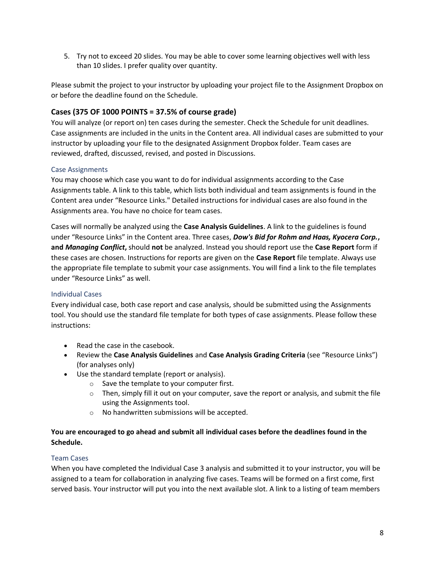5. Try not to exceed 20 slides. You may be able to cover some learning objectives well with less than 10 slides. I prefer quality over quantity.

Please submit the project to your instructor by uploading your project file to the Assignment Dropbox on or before the deadline found on the Schedule.

# **Cases (375 OF 1000 POINTS = 37.5% of course grade)**

You will analyze (or report on) ten cases during the semester. Check the Schedule for unit deadlines. Case assignments are included in the units in the Content area. All individual cases are submitted to your instructor by uploading your file to the designated Assignment Dropbox folder. Team cases are reviewed, drafted, discussed, revised, and posted in Discussions.

### Case Assignments

You may choose which case you want to do for individual assignments according to the Case Assignments table. A link to this table, which lists both individual and team assignments is found in the Content area under "Resource Links." Detailed instructions for individual cases are also found in the Assignments area. You have no choice for team cases.

Cases will normally be analyzed using the **Case Analysis Guidelines**. A link to the guidelines is found under "Resource Links" in the Content area. Three cases, *Dow's Bid for Rohm and Haas, Kyocera Corp.***, and** *Managing Conflict***,** should **not** be analyzed. Instead you should report use the **Case Report** form if these cases are chosen. Instructions for reports are given on the **Case Report** file template. Always use the appropriate file template to submit your case assignments. You will find a link to the file templates under "Resource Links" as well.

#### Individual Cases

Every individual case, both case report and case analysis, should be submitted using the Assignments tool. You should use the standard file template for both types of case assignments. Please follow these instructions:

- Read the case in the casebook.
- Review the **Case Analysis Guidelines** and **Case Analysis Grading Criteria** (see "Resource Links") (for analyses only)
- Use the standard template (report or analysis).
	- o Save the template to your computer first.
		- $\circ$  Then, simply fill it out on your computer, save the report or analysis, and submit the file using the Assignments tool.
		- o No handwritten submissions will be accepted.

# **You are encouraged to go ahead and submit all individual cases before the deadlines found in the Schedule.**

#### Team Cases

When you have completed the Individual Case 3 analysis and submitted it to your instructor, you will be assigned to a team for collaboration in analyzing five cases. Teams will be formed on a first come, first served basis. Your instructor will put you into the next available slot. A link to a listing of team members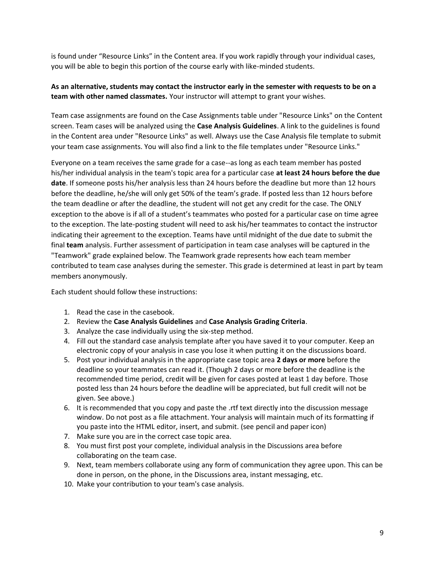is found under "Resource Links" in the Content area. If you work rapidly through your individual cases, you will be able to begin this portion of the course early with like-minded students.

## **As an alternative, students may contact the instructor early in the semester with requests to be on a team with other named classmates.** Your instructor will attempt to grant your wishes.

Team case assignments are found on the Case Assignments table under "Resource Links" on the Content screen. Team cases will be analyzed using the **Case Analysis Guidelines**. A link to the guidelines is found in the Content area under "Resource Links" as well. Always use the Case Analysis file template to submit your team case assignments. You will also find a link to the file templates under "Resource Links."

Everyone on a team receives the same grade for a case--as long as each team member has posted his/her individual analysis in the team's topic area for a particular case **at least 24 hours before the due date**. If someone posts his/her analysis less than 24 hours before the deadline but more than 12 hours before the deadline, he/she will only get 50% of the team's grade. If posted less than 12 hours before the team deadline or after the deadline, the student will not get any credit for the case. The ONLY exception to the above is if all of a student's teammates who posted for a particular case on time agree to the exception. The late-posting student will need to ask his/her teammates to contact the instructor indicating their agreement to the exception. Teams have until midnight of the due date to submit the final **team** analysis. Further assessment of participation in team case analyses will be captured in the "Teamwork" grade explained below. The Teamwork grade represents how each team member contributed to team case analyses during the semester. This grade is determined at least in part by team members anonymously.

Each student should follow these instructions:

- 1. Read the case in the casebook.
- 2. Review the **Case Analysis Guidelines** and **Case Analysis Grading Criteria**.
- 3. Analyze the case individually using the six-step method.
- 4. Fill out the standard case analysis template after you have saved it to your computer. Keep an electronic copy of your analysis in case you lose it when putting it on the discussions board.
- 5. Post your individual analysis in the appropriate case topic area **2 days or more** before the deadline so your teammates can read it. (Though 2 days or more before the deadline is the recommended time period, credit will be given for cases posted at least 1 day before. Those posted less than 24 hours before the deadline will be appreciated, but full credit will not be given. See above.)
- 6. It is recommended that you copy and paste the .rtf text directly into the discussion message window. Do not post as a file attachment. Your analysis will maintain much of its formatting if you paste into the HTML editor, insert, and submit. (see pencil and paper icon)
- 7. Make sure you are in the correct case topic area.
- 8. You must first post your complete, individual analysis in the Discussions area before collaborating on the team case.
- 9. Next, team members collaborate using any form of communication they agree upon. This can be done in person, on the phone, in the Discussions area, instant messaging, etc.
- 10. Make your contribution to your team's case analysis.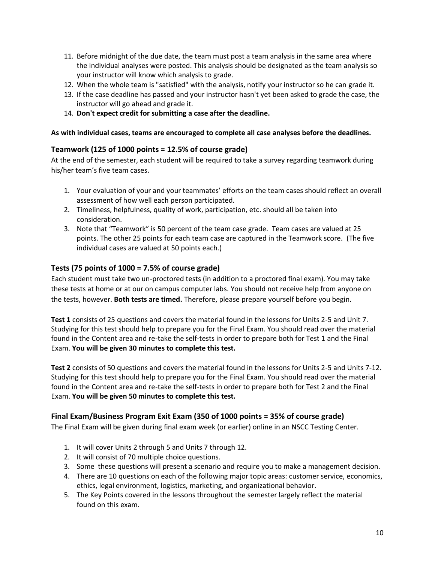- 11. Before midnight of the due date, the team must post a team analysis in the same area where the individual analyses were posted. This analysis should be designated as the team analysis so your instructor will know which analysis to grade.
- 12. When the whole team is "satisfied" with the analysis, notify your instructor so he can grade it.
- 13. If the case deadline has passed and your instructor hasn't yet been asked to grade the case, the instructor will go ahead and grade it.
- 14. **Don't expect credit for submitting a case after the deadline.**

#### **As with individual cases, teams are encouraged to complete all case analyses before the deadlines.**

### **Teamwork (125 of 1000 points = 12.5% of course grade)**

At the end of the semester, each student will be required to take a survey regarding teamwork during his/her team's five team cases.

- 1. Your evaluation of your and your teammates' efforts on the team cases should reflect an overall assessment of how well each person participated.
- 2. Timeliness, helpfulness, quality of work, participation, etc. should all be taken into consideration.
- 3. Note that "Teamwork" is 50 percent of the team case grade. Team cases are valued at 25 points. The other 25 points for each team case are captured in the Teamwork score. (The five individual cases are valued at 50 points each.)

# **Tests (75 points of 1000 = 7.5% of course grade)**

Each student must take two un-proctored tests (in addition to a proctored final exam). You may take these tests at home or at our on campus computer labs. You should not receive help from anyone on the tests, however. **Both tests are timed.** Therefore, please prepare yourself before you begin.

**Test 1** consists of 25 questions and covers the material found in the lessons for Units 2-5 and Unit 7. Studying for this test should help to prepare you for the Final Exam. You should read over the material found in the Content area and re-take the self-tests in order to prepare both for Test 1 and the Final Exam. **You will be given 30 minutes to complete this test.**

**Test 2** consists of 50 questions and covers the material found in the lessons for Units 2-5 and Units 7-12. Studying for this test should help to prepare you for the Final Exam. You should read over the material found in the Content area and re-take the self-tests in order to prepare both for Test 2 and the Final Exam. **You will be given 50 minutes to complete this test.**

#### **Final Exam/Business Program Exit Exam (350 of 1000 points = 35% of course grade)**

The Final Exam will be given during final exam week (or earlier) online in an NSCC Testing Center.

- 1. It will cover Units 2 through 5 and Units 7 through 12.
- 2. It will consist of 70 multiple choice questions.
- 3. Some these questions will present a scenario and require you to make a management decision.
- 4. There are 10 questions on each of the following major topic areas: customer service, economics, ethics, legal environment, logistics, marketing, and organizational behavior.
- 5. The Key Points covered in the lessons throughout the semester largely reflect the material found on this exam.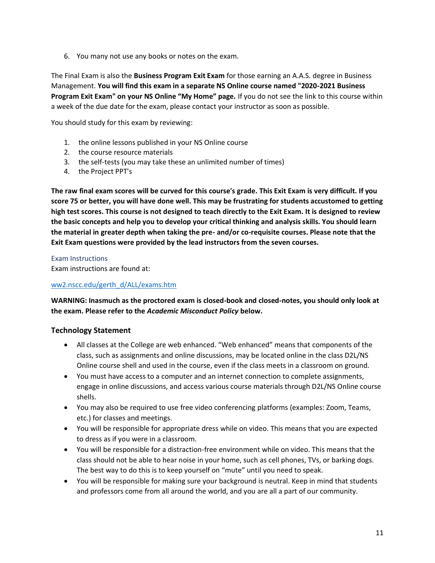6. You many not use any books or notes on the exam.

The Final Exam is also the **Business Program Exit Exam** for those earning an A.A.S. degree in Business Management. **You will find this exam in a separate NS Online course named "2020-2021 Business Program Exit Exam" on your NS Online "My Home" page.** If you do not see the link to this course within a week of the due date for the exam, please contact your instructor as soon as possible.

You should study for this exam by reviewing:

- 1. the online lessons published in your NS Online course
- 2. the course resource materials
- 3. the self-tests (you may take these an unlimited number of times)
- 4. the Project PPT's

**The raw final exam scores will be curved for this course's grade. This Exit Exam is very difficult. If you score 75 or better, you will have done well. This may be frustrating for students accustomed to getting high test scores. This course is not designed to teach directly to the Exit Exam. It is designed to review the basic concepts and help you to develop your critical thinking and analysis skills. You should learn the material in greater depth when taking the pre- and/or co-requisite courses. Please note that the Exit Exam questions were provided by the lead instructors from the seven courses.**

#### Exam Instructions

Exam instructions are found at:

#### [ww2.nscc.edu/gerth\\_d/ALL/exams.htm](http://ww2.nscc.edu/gerth_d/ALL/exams.htm)

**WARNING: Inasmuch as the proctored exam is closed-book and closed-notes, you should only look at the exam. Please refer to the** *Academic Misconduct Policy* **below.**

# **Technology Statement**

- All classes at the College are web enhanced. "Web enhanced" means that components of the class, such as assignments and online discussions, may be located online in the class D2L/NS Online course shell and used in the course, even if the class meets in a classroom on ground.
- You must have access to a computer and an internet connection to complete assignments, engage in online discussions, and access various course materials through D2L/NS Online course shells.
- You may also be required to use free video conferencing platforms (examples: Zoom, Teams, etc.) for classes and meetings.
- You will be responsible for appropriate dress while on video. This means that you are expected to dress as if you were in a classroom.
- You will be responsible for a distraction-free environment while on video. This means that the class should not be able to hear noise in your home, such as cell phones, TVs, or barking dogs. The best way to do this is to keep yourself on "mute" until you need to speak.
- You will be responsible for making sure your background is neutral. Keep in mind that students and professors come from all around the world, and you are all a part of our community.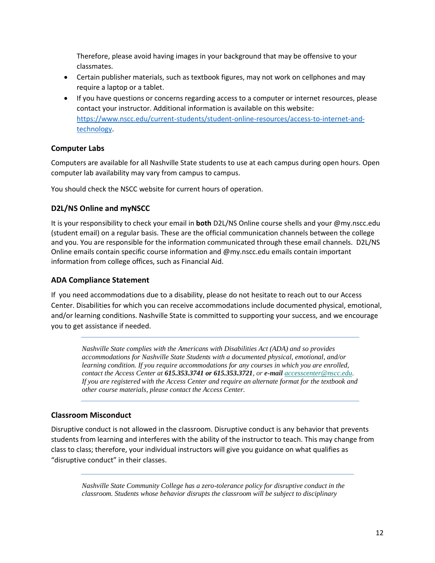Therefore, please avoid having images in your background that may be offensive to your classmates.

- Certain publisher materials, such as textbook figures, may not work on cellphones and may require a laptop or a tablet.
- If you have questions or concerns regarding access to a computer or internet resources, please contact your instructor. Additional information is available on this website: [https://www.nscc.edu/current-students/student-online-resources/access-to-internet-and](https://www.nscc.edu/current-students/student-online-resources/access-to-internet-and-technology)[technology.](https://www.nscc.edu/current-students/student-online-resources/access-to-internet-and-technology)

# **Computer Labs**

Computers are available for all Nashville State students to use at each campus during open hours. Open computer lab availability may vary from campus to campus.

You should check the NSCC website for current hours of operation.

# **D2L/NS Online and myNSCC**

It is your responsibility to check your email in **both** D2L/NS Online course shells and your @my.nscc.edu (student email) on a regular basis. These are the official communication channels between the college and you. You are responsible for the information communicated through these email channels. D2L/NS Online emails contain specific course information and @my.nscc.edu emails contain important information from college offices, such as Financial Aid.

# **ADA Compliance Statement**

If you need accommodations due to a disability, please do not hesitate to reach out to our Access Center. Disabilities for which you can receive accommodations include documented physical, emotional, and/or learning conditions. Nashville State is committed to supporting your success, and we encourage you to get assistance if needed.

*Nashville State complies with the Americans with Disabilities Act (ADA) and so provides accommodations for Nashville State Students with a documented physical, emotional, and/or learning condition. If you require accommodations for any courses in which you are enrolled, contact the Access Center at 615.353.3741 or 615.353.3721, or e-mail [accesscenter@nscc.edu.](mailto:%3Caccesscenter@nscc.edu%3E) If you are registered with the Access Center and require an alternate format for the textbook and other course materials, please contact the Access Center.*

# **Classroom Misconduct**

Disruptive conduct is not allowed in the classroom. Disruptive conduct is any behavior that prevents students from learning and interferes with the ability of the instructor to teach. This may change from class to class; therefore, your individual instructors will give you guidance on what qualifies as "disruptive conduct" in their classes.

*Nashville State Community College has a zero-tolerance policy for disruptive conduct in the classroom. Students whose behavior disrupts the classroom will be subject to disciplinary*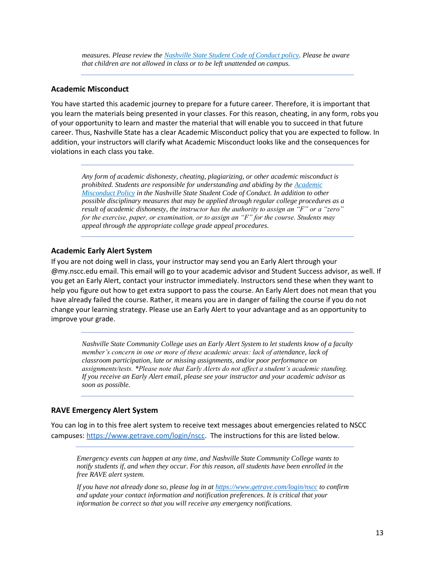*measures. Please review the [Nashville State Student Code of Conduct policy.](https://s3.amazonaws.com/nscc.edu/PDFs/dean-students/Student_Code_of_Conduct_Policy.pdf) Please be aware that children are not allowed in class or to be left unattended on campus.*

#### **Academic Misconduct**

You have started this academic journey to prepare for a future career. Therefore, it is important that you learn the materials being presented in your classes. For this reason, cheating, in any form, robs you of your opportunity to learn and master the material that will enable you to succeed in that future career. Thus, Nashville State has a clear Academic Misconduct policy that you are expected to follow. In addition, your instructors will clarify what Academic Misconduct looks like and the consequences for violations in each class you take.

*Any form of academic dishonesty, cheating, plagiarizing, or other academic misconduct is prohibited. Students are responsible for understanding and abiding by the [Academic](https://s3.amazonaws.com/nscc.edu/PDFs/dean-students/Student_Code_of_Conduct_Policy.pdf)  [Misconduct Policy](https://s3.amazonaws.com/nscc.edu/PDFs/dean-students/Student_Code_of_Conduct_Policy.pdf) in the Nashville State Student Code of Conduct. In addition to other possible disciplinary measures that may be applied through regular college procedures as a result of academic dishonesty, the instructor has the authority to assign an "F" or a "zero" for the exercise, paper, or examination, or to assign an "F" for the course. Students may appeal through the appropriate college grade appeal procedures.*

#### **Academic Early Alert System**

If you are not doing well in class, your instructor may send you an Early Alert through your @my.nscc.edu email. This email will go to your academic advisor and Student Success advisor, as well. If you get an Early Alert, contact your instructor immediately. Instructors send these when they want to help you figure out how to get extra support to pass the course. An Early Alert does not mean that you have already failed the course. Rather, it means you are in danger of failing the course if you do not change your learning strategy. Please use an Early Alert to your advantage and as an opportunity to improve your grade.

*Nashville State Community College uses an Early Alert System to let students know of a faculty member's concern in one or more of these academic areas: lack of attendance, lack of classroom participation, late or missing assignments, and/or poor performance on assignments/tests. \*Please note that Early Alerts do not affect a student's academic standing. If you receive an Early Alert email, please see your instructor and your academic advisor as soon as possible.*

#### **RAVE Emergency Alert System**

You can log in to this free alert system to receive text messages about emergencies related to NSCC campuses: [https://www.getrave.com/login/nscc.](https://www.getrave.com/login/nscc) The instructions for this are listed below.

*Emergency events can happen at any time, and Nashville State Community College wants to notify students if, and when they occur. For this reason, all students have been enrolled in the free RAVE alert system.* 

*If you have not already done so, please log in at<https://www.getrave.com/login/nscc> to confirm and update your contact information and notification preferences. It is critical that your information be correct so that you will receive any emergency notifications.*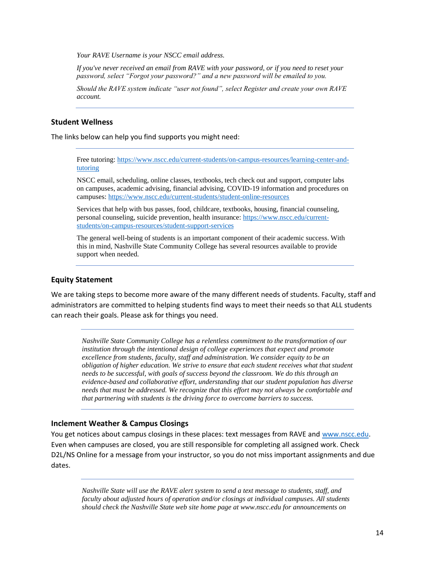*Your RAVE Username is your NSCC email address.* 

*If you've never received an email from RAVE with your password, or if you need to reset your password, select "Forgot your password?" and a new password will be emailed to you.* 

*Should the RAVE system indicate "user not found", select Register and create your own RAVE account.*

#### **Student Wellness**

The links below can help you find supports you might need:

Free tutoring: [https://www.nscc.edu/current-students/on-campus-resources/learning-center-and](https://www.nscc.edu/current-students/on-campus-resources/learning-center-and-tutoring)[tutoring](https://www.nscc.edu/current-students/on-campus-resources/learning-center-and-tutoring) 

NSCC email, scheduling, online classes, textbooks, tech check out and support, computer labs on campuses, academic advising, financial advising, COVID-19 information and procedures on campuses[: https://www.nscc.edu/current-students/student-online-resources](https://www.nscc.edu/current-students/student-online-resources)

Services that help with bus passes, food, childcare, textbooks, housing, financial counseling, personal counseling, suicide prevention, health insurance: [https://www.nscc.edu/current](https://www.nscc.edu/current-students/on-campus-resources/student-support-services)[students/on-campus-resources/student-support-services](https://www.nscc.edu/current-students/on-campus-resources/student-support-services)

The general well-being of students is an important component of their academic success. With this in mind, Nashville State Community College has several resources available to provide support when needed.

#### **Equity Statement**

We are taking steps to become more aware of the many different needs of students. Faculty, staff and administrators are committed to helping students find ways to meet their needs so that ALL students can reach their goals. Please ask for things you need.

*Nashville State Community College has a relentless commitment to the transformation of our institution through the intentional design of college experiences that expect and promote excellence from students, faculty, staff and administration. We consider equity to be an obligation of higher education. We strive to ensure that each student receives what that student needs to be successful, with goals of success beyond the classroom. We do this through an evidence-based and collaborative effort, understanding that our student population has diverse needs that must be addressed. We recognize that this effort may not always be comfortable and that partnering with students is the driving force to overcome barriers to success.* 

#### **Inclement Weather & Campus Closings**

You get notices about campus closings in these places: text messages from RAVE and [www.nscc.edu.](http://www.nscc.edu/) Even when campuses are closed, you are still responsible for completing all assigned work. Check D2L/NS Online for a message from your instructor, so you do not miss important assignments and due dates.

*Nashville State will use the RAVE alert system to send a text message to students, staff, and faculty about adjusted hours of operation and/or closings at individual campuses. All students should check the Nashville State web site home page at www.nscc.edu for announcements on*